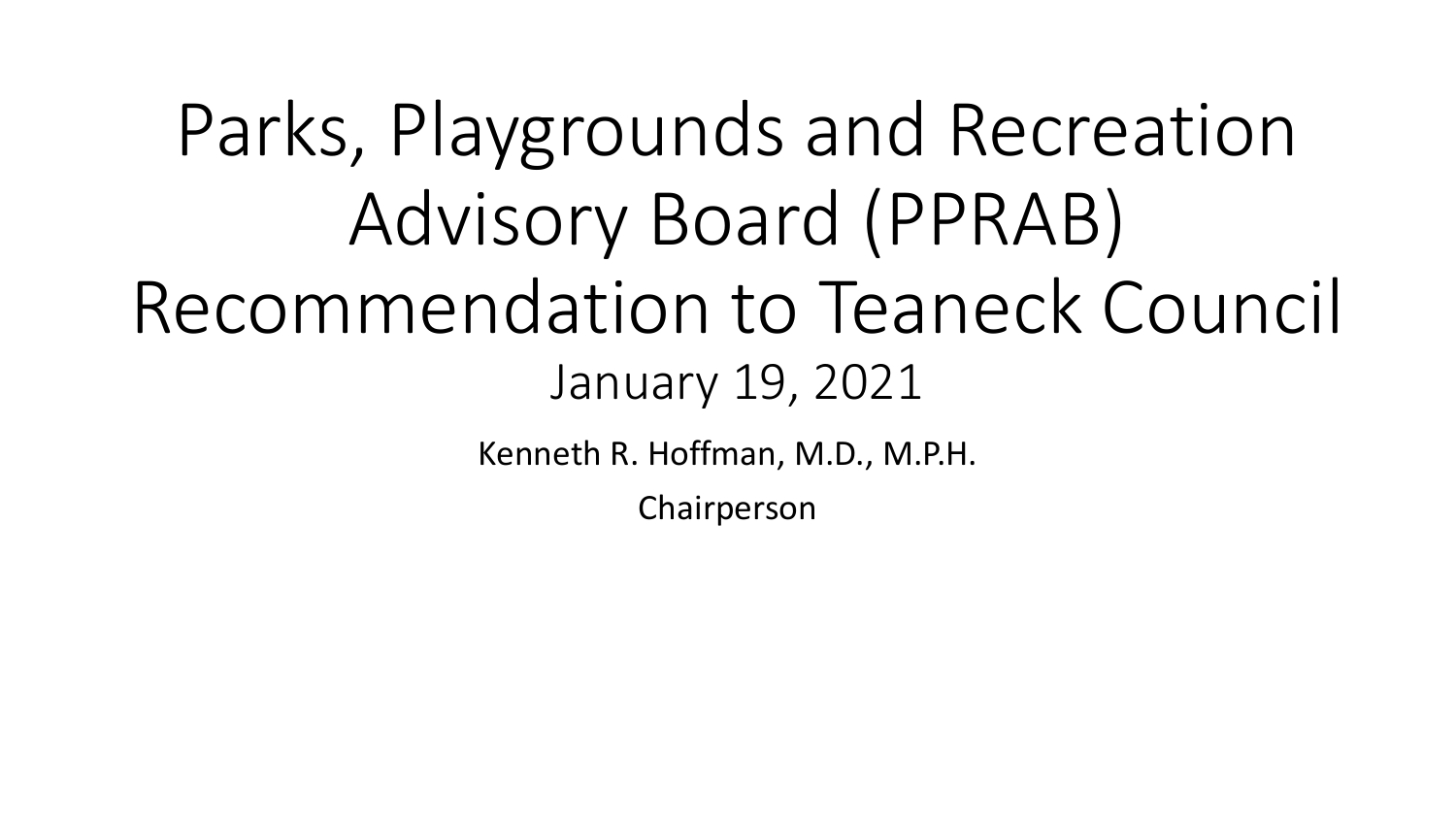Parks, Playgrounds and Recreation Advisory Board (PPRAB) Recommendation to Teaneck Council January 19, 2021

Kenneth R. Hoffman, M.D., M.P.H.

Chairperson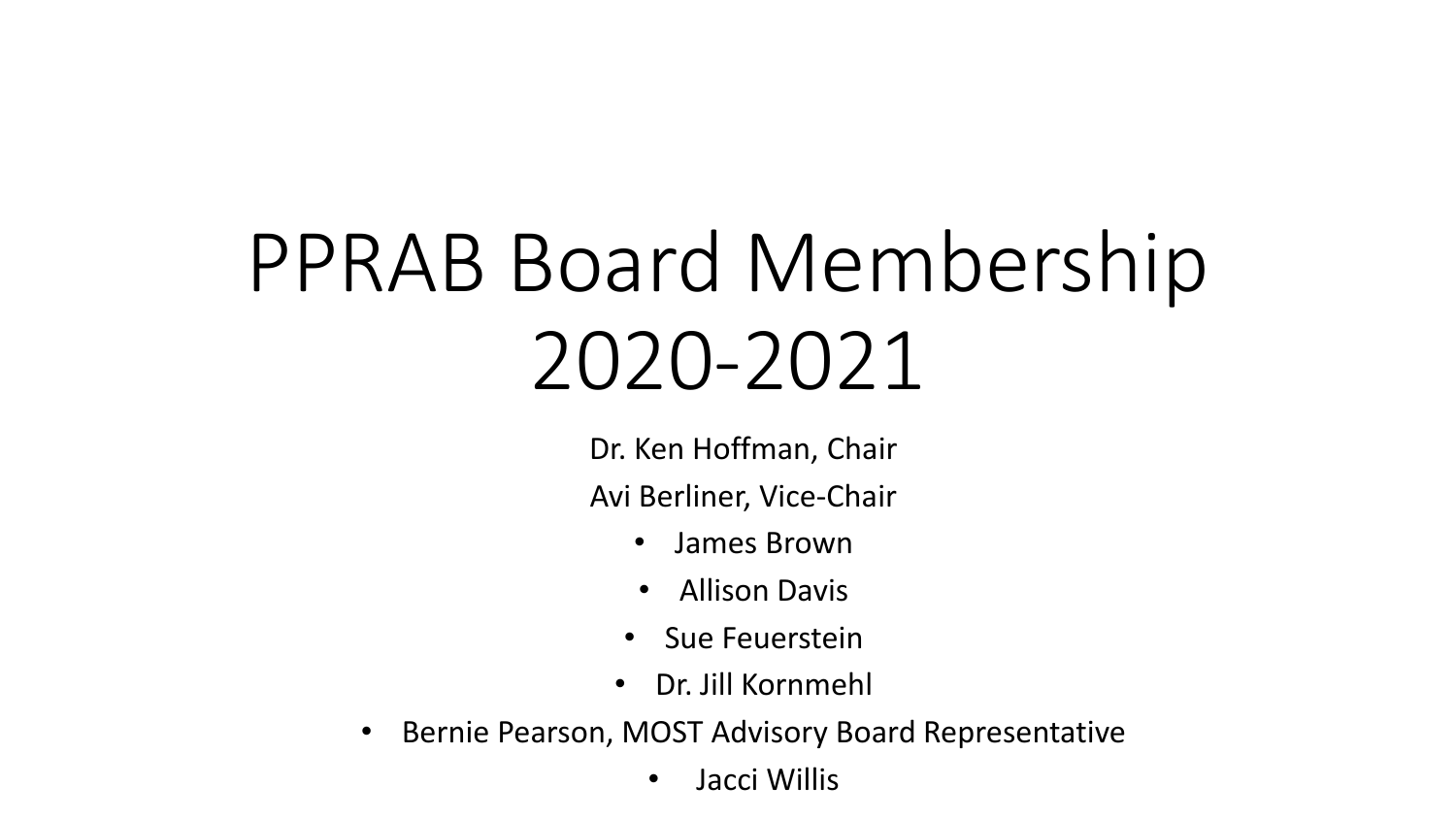# PPRAB Board Membership 2020-2021

Dr. Ken Hoffman, Chair

Avi Berliner, Vice-Chair

- James Brown
- Allison Davis
- Sue Feuerstein
- Dr. Jill Kornmehl
- Bernie Pearson, MOST Advisory Board Representative
	- Jacci Willis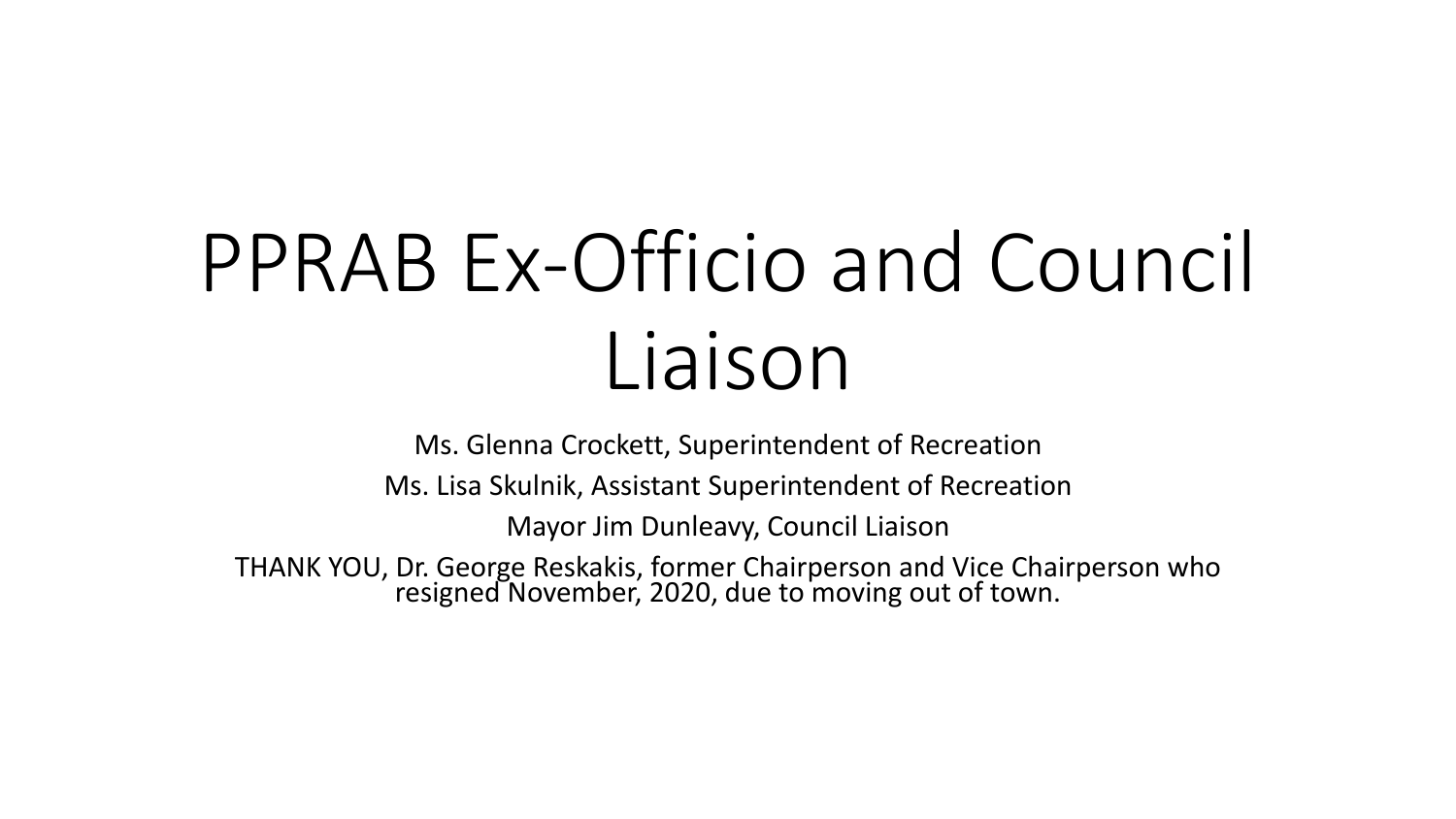## PPRAB Ex-Officio and Council Liaison

Ms. Glenna Crockett, Superintendent of Recreation

Ms. Lisa Skulnik, Assistant Superintendent of Recreation

Mayor Jim Dunleavy, Council Liaison

THANK YOU, Dr. George Reskakis, former Chairperson and Vice Chairperson who resigned November, 2020, due to moving out of town.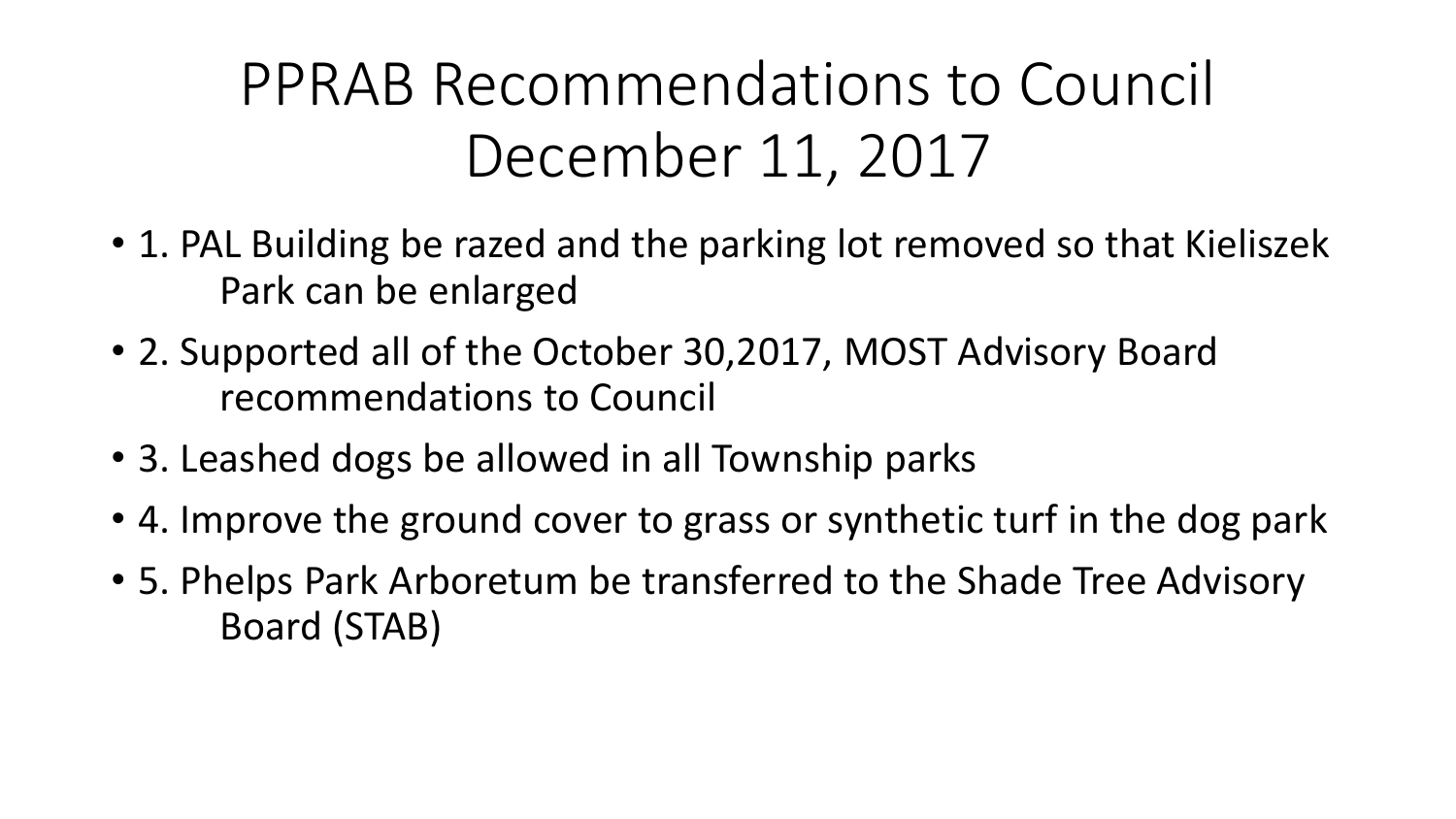PPRAB Recommendations to Council December 11, 2017

- 1. PAL Building be razed and the parking lot removed so that Kieliszek Park can be enlarged
- 2. Supported all of the October 30,2017, MOST Advisory Board recommendations to Council
- 3. Leashed dogs be allowed in all Township parks
- 4. Improve the ground cover to grass or synthetic turf in the dog park
- 5. Phelps Park Arboretum be transferred to the Shade Tree Advisory Board (STAB)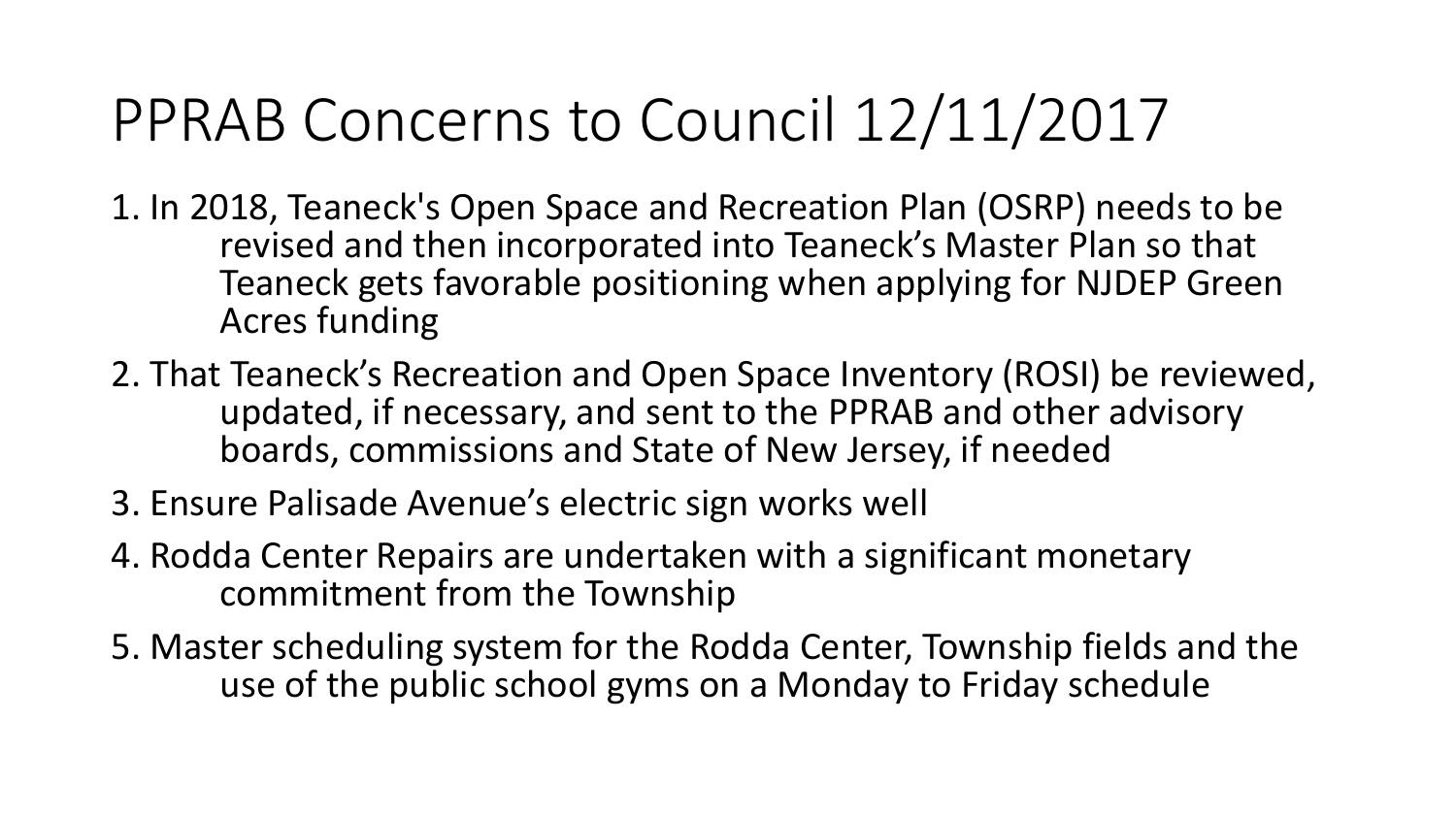#### PPRAB Concerns to Council 12/11/2017

- 1. In 2018, Teaneck's Open Space and Recreation Plan (OSRP) needs to be revised and then incorporated into Teaneck's Master Plan so that Teaneck gets favorable positioning when applying for NJDEP Green Acres funding
- 2. That Teaneck's Recreation and Open Space Inventory (ROSI) be reviewed, updated, if necessary, and sent to the PPRAB and other advisory boards, commissions and State of New Jersey, if needed
- 3. Ensure Palisade Avenue's electric sign works well
- 4. Rodda Center Repairs are undertaken with a significant monetary commitment from the Township
- 5. Master scheduling system for the Rodda Center, Township fields and the use of the public school gyms on a Monday to Friday schedule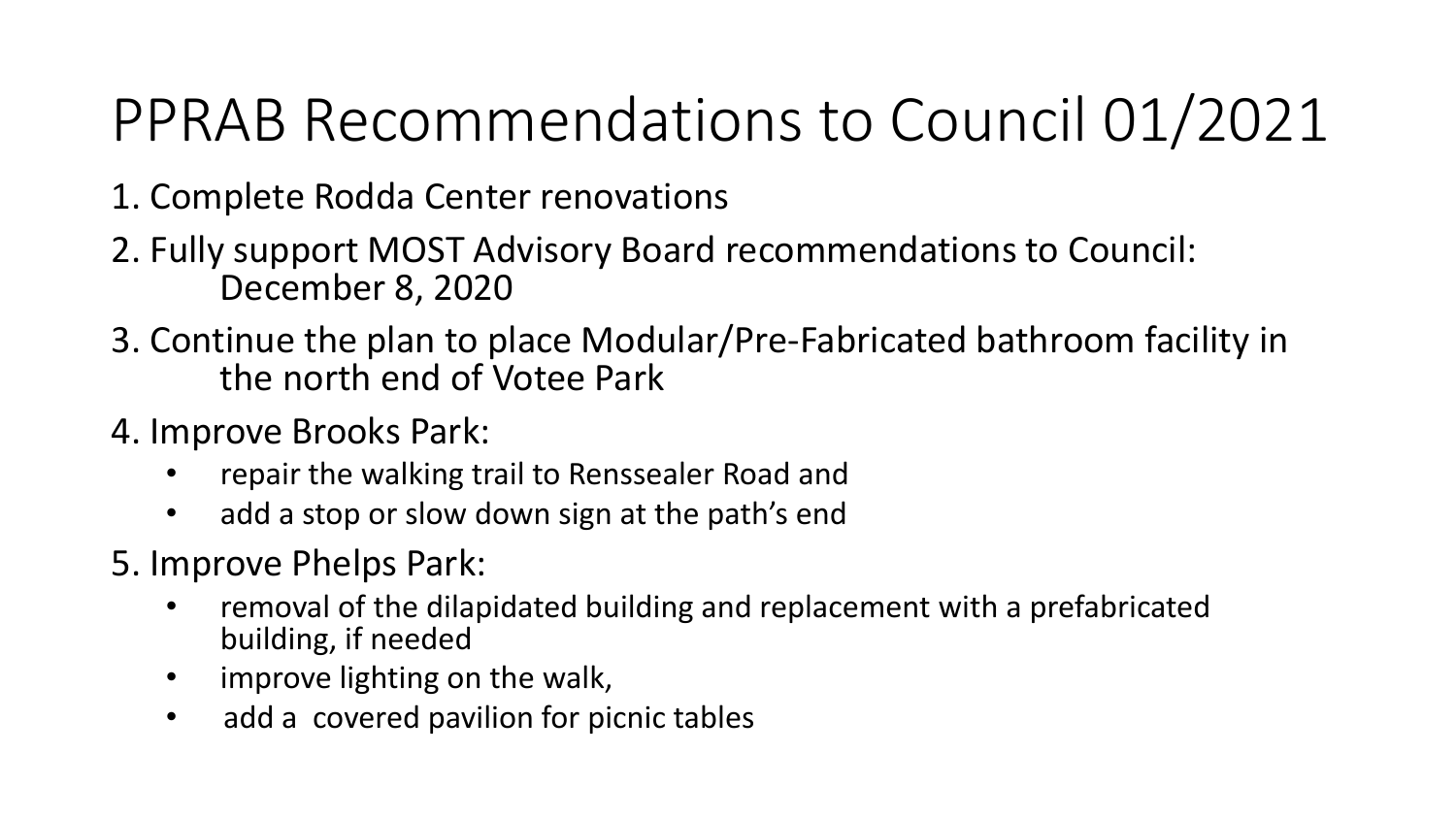### PPRAB Recommendations to Council 01/2021

- 1. Complete Rodda Center renovations
- 2. Fully support MOST Advisory Board recommendations to Council: December 8, 2020
- 3. Continue the plan to place Modular/Pre-Fabricated bathroom facility in the north end of Votee Park
- 4. Improve Brooks Park:
	- repair the walking trail to Renssealer Road and
	- add a stop or slow down sign at the path's end
- 5. Improve Phelps Park:
	- removal of the dilapidated building and replacement with a prefabricated building, if needed
	- improve lighting on the walk,
	- add a covered pavilion for picnic tables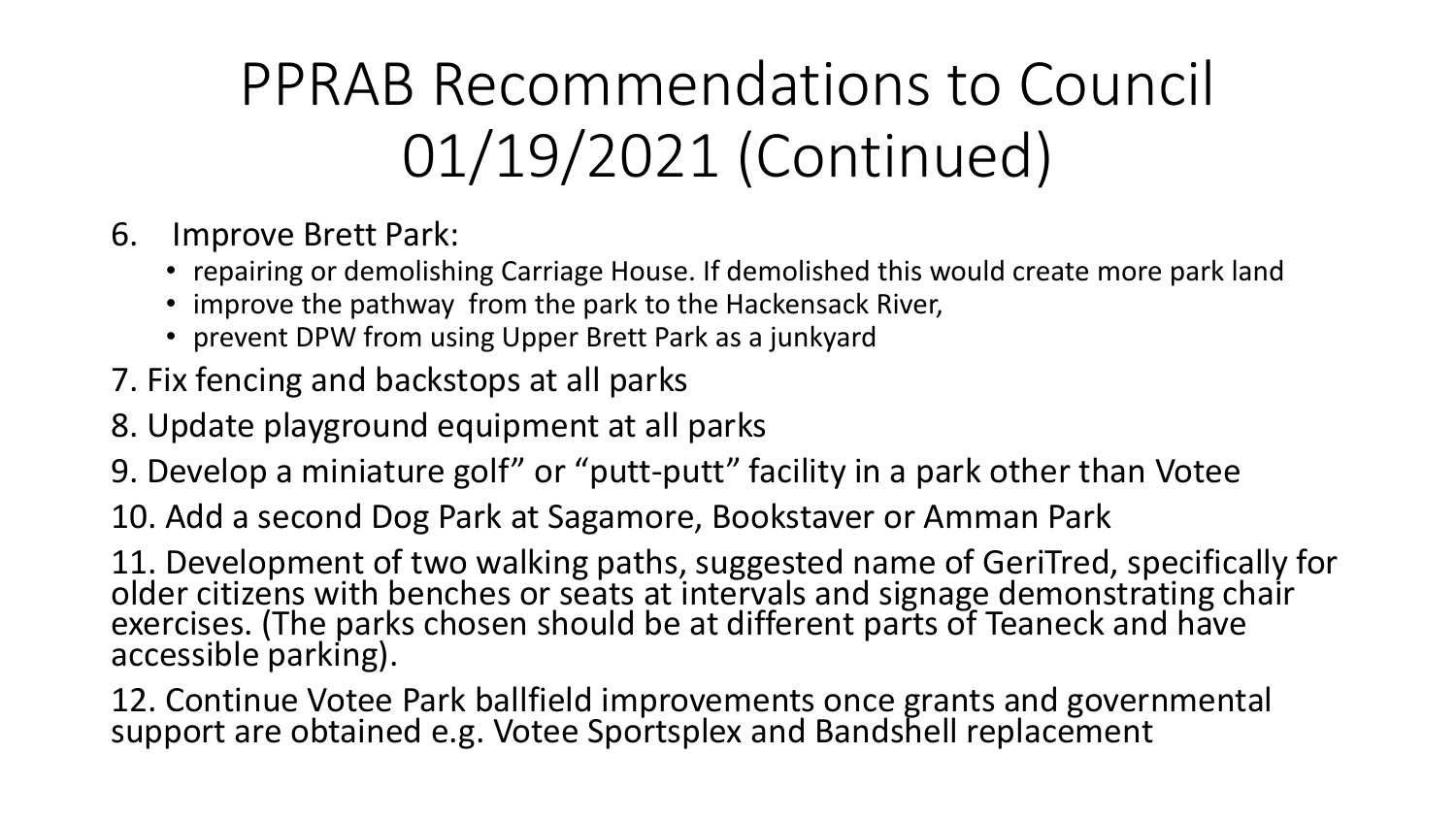### PPRAB Recommendations to Council 01/19/2021 (Continued)

- 6. Improve Brett Park:
	- repairing or demolishing Carriage House. If demolished this would create more park land
	- improve the pathway from the park to the Hackensack River,
	- prevent DPW from using Upper Brett Park as a junkyard
- 7. Fix fencing and backstops at all parks
- 8. Update playground equipment at all parks
- 9. Develop a miniature golf" or "putt-putt" facility in a park other than Votee

10. Add a second Dog Park at Sagamore, Bookstaver or Amman Park

11. Development of two walking paths, suggested name of GeriTred, specifically for older citizens with benches or seats at intervals and signage demonstrating chair exercises. (The parks chosen should be at different parts of Teaneck and have accessible parking).

12. Continue Votee Park ballfield improvements once grants and governmental support are obtained e.g. Votee Sportsplex and Bandshell replacement